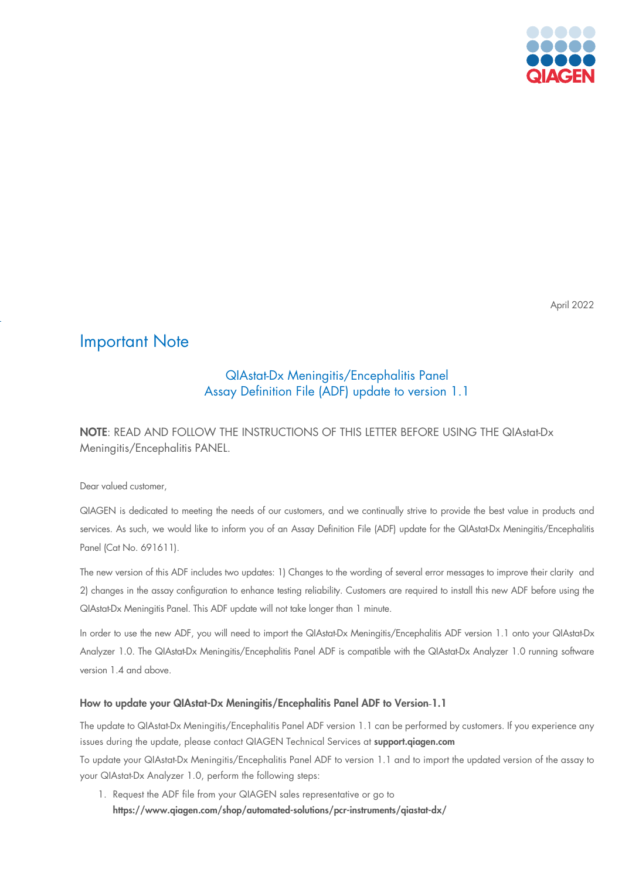

April 2022

## Important Note

## QIAstat-Dx Meningitis/Encephalitis Panel Assay Definition File (ADF) update to version 1.1

NOTE: READ AND FOLLOW THE INSTRUCTIONS OF THIS LETTER BEFORE USING THE QIAstat-Dx Meningitis/Encephalitis PANEL.

Dear valued customer,

QIAGEN is dedicated to meeting the needs of our customers, and we continually strive to provide the best value in products and services. As such, we would like to inform you of an Assay Definition File (ADF) update for the QIAstat-Dx Meningitis/Encephalitis Panel (Cat No. 691611).

The new version of this ADF includes two updates: 1) Changes to the wording of several error messages to improve their clarity and 2) changes in the assay configuration to enhance testing reliability. Customers are required to install this new ADF before using the QIAstat-Dx Meningitis Panel. This ADF update will not take longer than 1 minute.

In order to use the new ADF, you will need to import the QIAstat-Dx Meningitis/Encephalitis ADF version 1.1 onto your QIAstat-Dx Analyzer 1.0. The QIAstat-Dx Meningitis/Encephalitis Panel ADF is compatible with the QIAstat-Dx Analyzer 1.0 running software version 1.4 and above.

## How to update your QIAstat-Dx Meningitis/Encephalitis Panel ADF to Version-1.1

The update to QIAstat-Dx Meningitis/Encephalitis Panel ADF version 1.1 can be performed by customers. If you experience any issues during the update, please contact QIAGEN Technical Services at support.qiagen.com

To update your QIAstat-Dx Meningitis/Encephalitis Panel ADF to version 1.1 and to import the updated version of the assay to your QIAstat-Dx Analyzer 1.0, perform the following steps:

1. Request the ADF file from your QIAGEN sales representative or go to <https://www.qiagen.com/shop/automated-solutions/pcr-instruments/qiastat-dx/>